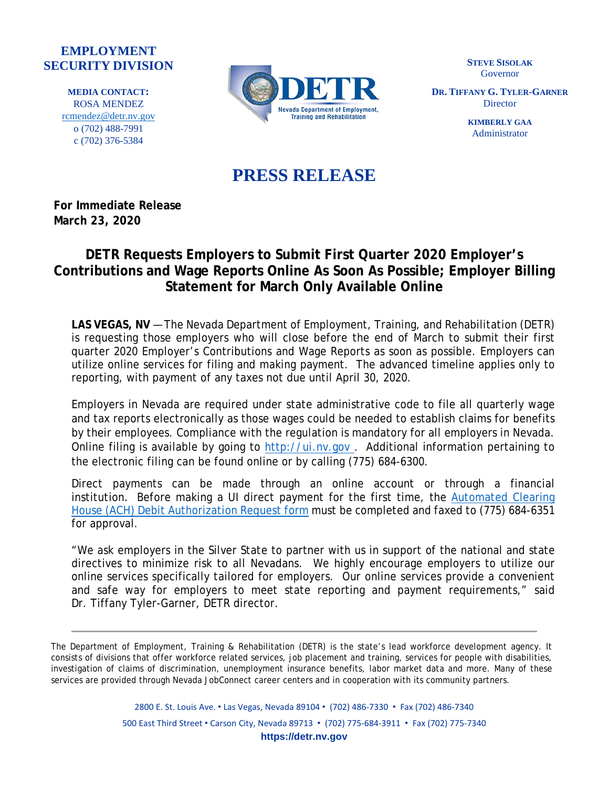## **EMPLOYMENT SECURITY DIVISION**

**MEDIA CONTACT:** ROSA MENDEZ [rcmendez@detr.nv.gov](mailto:rcmendez@detr.nv.gov) o (702) 488-7991 c (702) 376-5384



**STEVE SISOLAK** Governor

**DR. TIFFANY G. TYLER-GARNER Director** 

> **KIMBERLY GAA** Administrator

## **PRESS RELEASE**

**For Immediate Release March 23, 2020**

## **DETR Requests Employers to Submit First Quarter 2020 Employer's Contributions and Wage Reports Online As Soon As Possible; Employer Billing Statement for March Only Available Online**

**LAS VEGAS, NV** — The Nevada Department of Employment, Training, and Rehabilitation (DETR) is requesting those employers who will close before the end of March to submit their first quarter 2020 Employer's Contributions and Wage Reports as soon as possible. Employers can utilize online services for filing and making payment. The advanced timeline applies only to reporting, with payment of any taxes not due until April 30, 2020.

Employers in Nevada are required under state administrative code to file all quarterly wage and tax reports electronically as those wages could be needed to establish claims for benefits by their employees. Compliance with the regulation is mandatory for all employers in Nevada. Online filing is available by going to [http://ui.nv.gov](http://ui.nv.gov/) . Additional information pertaining to the electronic filing can be found online or by calling (775) 684-6300.

Direct payments can be made through an online account or through a financial institution. Before making a UI direct payment for the first time, the [Automated](http://ui.nv.gov/PDFS/RPT7011.pdf) Clearing House (ACH) Debit [Authorization](http://ui.nv.gov/PDFS/RPT7011.pdf) Request form must be completed and faxed to (775) 684-6351 for approval.

"We ask employers in the Silver State to partner with us in support of the national and state directives to minimize risk to all Nevadans. We highly encourage employers to utilize our online services specifically tailored for employers. Our online services provide a convenient and safe way for employers to meet state reporting and payment requirements," said Dr. Tiffany Tyler-Garner, DETR director.

The Department of Employment, Training & Rehabilitation (DETR) is the state's lead workforce development agency. It consists of divisions that offer workforce related services, job placement and training, services for people with disabilities, investigation of claims of discrimination, unemployment insurance benefits, labor market data and more. Many of these services are provided through Nevada JobConnect career centers and in cooperation with its community partners.

> 2800 E. St. Louis Ave. • Las Vegas, Nevada 89104 • (702) 486-7330 • Fax (702) 486-7340 500 East Third Street • Carson City, Nevada 89713 • (702) 775-684-3911 • Fax (702) 775-7340 **https://detr.nv.gov**